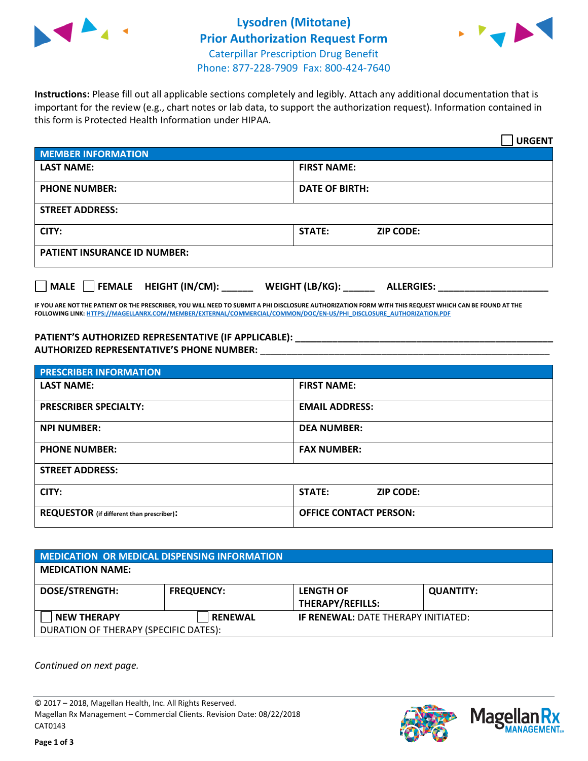



**Instructions:** Please fill out all applicable sections completely and legibly. Attach any additional documentation that is important for the review (e.g., chart notes or lab data, to support the authorization request). Information contained in this form is Protected Health Information under HIPAA.

|                                       | <b>URGENT</b>                        |  |
|---------------------------------------|--------------------------------------|--|
| <b>MEMBER INFORMATION</b>             |                                      |  |
| <b>LAST NAME:</b>                     | <b>FIRST NAME:</b>                   |  |
| <b>PHONE NUMBER:</b>                  | <b>DATE OF BIRTH:</b>                |  |
| <b>STREET ADDRESS:</b>                |                                      |  |
| CITY:                                 | <b>STATE:</b><br><b>ZIP CODE:</b>    |  |
| <b>PATIENT INSURANCE ID NUMBER:</b>   |                                      |  |
| FEMALE HEIGHT (IN/CM):<br><b>MALE</b> | WEIGHT (LB/KG):<br><b>ALLERGIES:</b> |  |

**IF YOU ARE NOT THE PATIENT OR THE PRESCRIBER, YOU WILL NEED TO SUBMIT A PHI DISCLOSURE AUTHORIZATION FORM WITH THIS REQUEST WHICH CAN BE FOUND AT THE FOLLOWING LINK[: HTTPS://MAGELLANRX.COM/MEMBER/EXTERNAL/COMMERCIAL/COMMON/DOC/EN-US/PHI\\_DISCLOSURE\\_AUTHORIZATION.PDF](https://magellanrx.com/member/external/commercial/common/doc/en-us/PHI_Disclosure_Authorization.pdf)**

**PATIENT'S AUTHORIZED REPRESENTATIVE (IF APPLICABLE): \_\_\_\_\_\_\_\_\_\_\_\_\_\_\_\_\_\_\_\_\_\_\_\_\_\_\_\_\_\_\_\_\_\_\_\_\_\_\_\_\_\_\_\_\_\_\_\_\_ AUTHORIZED REPRESENTATIVE'S PHONE NUMBER:** \_\_\_\_\_\_\_\_\_\_\_\_\_\_\_\_\_\_\_\_\_\_\_\_\_\_\_\_\_\_\_\_\_\_\_\_\_\_\_\_\_\_\_\_\_\_\_\_\_\_\_\_\_\_\_

| <b>PRESCRIBER INFORMATION</b>             |                                   |  |
|-------------------------------------------|-----------------------------------|--|
| <b>LAST NAME:</b>                         | <b>FIRST NAME:</b>                |  |
| <b>PRESCRIBER SPECIALTY:</b>              | <b>EMAIL ADDRESS:</b>             |  |
| <b>NPI NUMBER:</b>                        | <b>DEA NUMBER:</b>                |  |
| <b>PHONE NUMBER:</b>                      | <b>FAX NUMBER:</b>                |  |
| <b>STREET ADDRESS:</b>                    |                                   |  |
| CITY:                                     | <b>STATE:</b><br><b>ZIP CODE:</b> |  |
| REQUESTOR (if different than prescriber): | <b>OFFICE CONTACT PERSON:</b>     |  |

| <b>MEDICATION OR MEDICAL DISPENSING INFORMATION</b> |                   |                                            |                  |  |  |
|-----------------------------------------------------|-------------------|--------------------------------------------|------------------|--|--|
| <b>MEDICATION NAME:</b>                             |                   |                                            |                  |  |  |
| <b>DOSE/STRENGTH:</b>                               | <b>FREQUENCY:</b> | <b>LENGTH OF</b>                           | <b>QUANTITY:</b> |  |  |
|                                                     |                   | <b>THERAPY/REFILLS:</b>                    |                  |  |  |
| <b>NEW THERAPY</b>                                  | <b>RENEWAL</b>    | <b>IF RENEWAL: DATE THERAPY INITIATED:</b> |                  |  |  |
| DURATION OF THERAPY (SPECIFIC DATES):               |                   |                                            |                  |  |  |

*Continued on next page.*

© 2017 – 2018, Magellan Health, Inc. All Rights Reserved. Magellan Rx Management – Commercial Clients. Revision Date: 08/22/2018 CAT0143



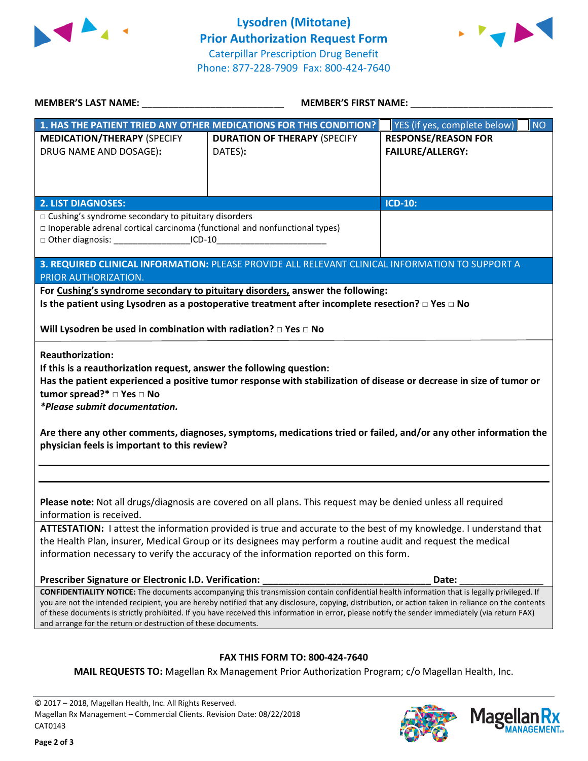



| MEMBER'S LAST NAME: NAME:                                                                                                                                                                                                                                                                                                                                                                                                                                       | MEMBER'S FIRST NAME:                                                                                                                                                                                                                                                                                                                                                                                                                                   |                                                       |  |  |
|-----------------------------------------------------------------------------------------------------------------------------------------------------------------------------------------------------------------------------------------------------------------------------------------------------------------------------------------------------------------------------------------------------------------------------------------------------------------|--------------------------------------------------------------------------------------------------------------------------------------------------------------------------------------------------------------------------------------------------------------------------------------------------------------------------------------------------------------------------------------------------------------------------------------------------------|-------------------------------------------------------|--|--|
|                                                                                                                                                                                                                                                                                                                                                                                                                                                                 | 1. HAS THE PATIENT TRIED ANY OTHER MEDICATIONS FOR THIS CONDITION?                                                                                                                                                                                                                                                                                                                                                                                     | YES (if yes, complete below)<br><b>NO</b>             |  |  |
| <b>MEDICATION/THERAPY (SPECIFY</b><br>DRUG NAME AND DOSAGE):                                                                                                                                                                                                                                                                                                                                                                                                    | <b>DURATION OF THERAPY (SPECIFY</b><br>DATES):                                                                                                                                                                                                                                                                                                                                                                                                         | <b>RESPONSE/REASON FOR</b><br><b>FAILURE/ALLERGY:</b> |  |  |
|                                                                                                                                                                                                                                                                                                                                                                                                                                                                 |                                                                                                                                                                                                                                                                                                                                                                                                                                                        |                                                       |  |  |
| <b>2. LIST DIAGNOSES:</b><br>□ Cushing's syndrome secondary to pituitary disorders<br>$\Box$ Inoperable adrenal cortical carcinoma (functional and nonfunctional types)                                                                                                                                                                                                                                                                                         | <b>ICD-10:</b>                                                                                                                                                                                                                                                                                                                                                                                                                                         |                                                       |  |  |
|                                                                                                                                                                                                                                                                                                                                                                                                                                                                 | 3. REQUIRED CLINICAL INFORMATION: PLEASE PROVIDE ALL RELEVANT CLINICAL INFORMATION TO SUPPORT A                                                                                                                                                                                                                                                                                                                                                        |                                                       |  |  |
| PRIOR AUTHORIZATION.<br>For Cushing's syndrome secondary to pituitary disorders, answer the following:<br>Is the patient using Lysodren as a postoperative treatment after incomplete resection? $\Box$ Yes $\Box$ No                                                                                                                                                                                                                                           |                                                                                                                                                                                                                                                                                                                                                                                                                                                        |                                                       |  |  |
| Will Lysodren be used in combination with radiation? $\Box$ Yes $\Box$ No                                                                                                                                                                                                                                                                                                                                                                                       |                                                                                                                                                                                                                                                                                                                                                                                                                                                        |                                                       |  |  |
| <b>Reauthorization:</b><br>If this is a reauthorization request, answer the following question:<br>Has the patient experienced a positive tumor response with stabilization of disease or decrease in size of tumor or<br>tumor spread?* □ Yes □ No<br><i>*Please submit documentation.</i><br>Are there any other comments, diagnoses, symptoms, medications tried or failed, and/or any other information the<br>physician feels is important to this review? |                                                                                                                                                                                                                                                                                                                                                                                                                                                        |                                                       |  |  |
| Please note: Not all drugs/diagnosis are covered on all plans. This request may be denied unless all required<br>information is received.                                                                                                                                                                                                                                                                                                                       |                                                                                                                                                                                                                                                                                                                                                                                                                                                        |                                                       |  |  |
| ATTESTATION: I attest the information provided is true and accurate to the best of my knowledge. I understand that<br>the Health Plan, insurer, Medical Group or its designees may perform a routine audit and request the medical<br>information necessary to verify the accuracy of the information reported on this form.                                                                                                                                    |                                                                                                                                                                                                                                                                                                                                                                                                                                                        |                                                       |  |  |
| Prescriber Signature or Electronic I.D. Verification:                                                                                                                                                                                                                                                                                                                                                                                                           |                                                                                                                                                                                                                                                                                                                                                                                                                                                        | Date:                                                 |  |  |
| and arrange for the return or destruction of these documents.                                                                                                                                                                                                                                                                                                                                                                                                   | CONFIDENTIALITY NOTICE: The documents accompanying this transmission contain confidential health information that is legally privileged. If<br>you are not the intended recipient, you are hereby notified that any disclosure, copying, distribution, or action taken in reliance on the contents<br>of these documents is strictly prohibited. If you have received this information in error, please notify the sender immediately (via return FAX) |                                                       |  |  |
|                                                                                                                                                                                                                                                                                                                                                                                                                                                                 |                                                                                                                                                                                                                                                                                                                                                                                                                                                        |                                                       |  |  |
|                                                                                                                                                                                                                                                                                                                                                                                                                                                                 | <b>FAX THIS FORM TO: 800-424-7640</b><br>MAIL REQUESTS TO: Magellan Rx Management Prior Authorization Program; c/o Magellan Health, Inc.                                                                                                                                                                                                                                                                                                               |                                                       |  |  |

© 2017 – 2018, Magellan Health, Inc. All Rights Reserved. Magellan Rx Management – Commercial Clients. Revision Date: 08/22/2018 CAT0143